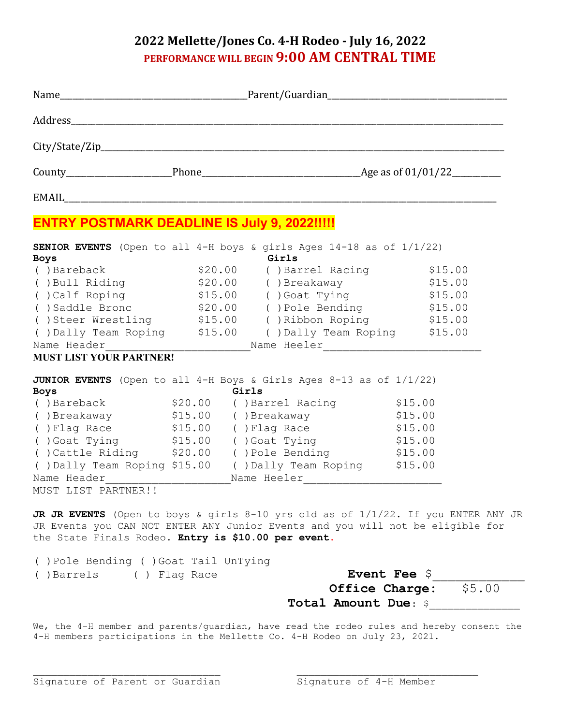## **2022 Mellette/Jones Co. 4-H Rodeo - July 16, 2022 PERFORMANCE WILL BEGIN 9:00 AM CENTRAL TIME**

| <b>ENTRY POSTMARK DEADLINE IS July 9, 2022!!!!!</b> |                                                                                      |         |
|-----------------------------------------------------|--------------------------------------------------------------------------------------|---------|
| <b>Boys</b>                                         | <b>SENIOR EVENTS</b> (Open to all 4-H boys & girls Ages 14-18 as of 1/1/22)<br>Girls |         |
| () Bareback                                         | \$20.00 ()Barrel Racing                                                              | \$15.00 |
|                                                     | () Bull Riding $$20.00$ () Breakaway $$15.00$                                        |         |
|                                                     | () Calf Roping $$15.00$ () Goat Tying $$15.00$                                       |         |
|                                                     | ()Saddle Bronc ()Pole Bending ()Saddle Bronc ()                                      |         |
|                                                     | ()Steer Wrestling \$15.00 ()Ribbon Roping \$15.00                                    |         |
|                                                     | () Dally Team Roping \$15.00 () Dally Team Roping \$15.00                            |         |
|                                                     | Name Header____________________________Name Heeler______________________________     |         |
| <b>MUST LIST YOUR PARTNER!</b>                      |                                                                                      |         |
| <b>Boys</b>                                         | JUNIOR EVENTS (Open to all 4-H Boys & Girls Ages 8-13 as of 1/1/22)<br>Girls         |         |
|                                                     | --1-<br>()Bareback                \$20.00    ()Barrel Racing              \$15.00    |         |
|                                                     | ()Breakaway \$15.00 ()Breakaway \$15.00                                              |         |
|                                                     | () Flag Race \$15.00 () Flag Race \$15.00                                            |         |
|                                                     | () Goat Tying (515.00 () Goat Tying (515.00                                          |         |
|                                                     | () Cattle Riding \$20.00 () Pole Bending \$15.00                                     |         |
|                                                     | () Dally Team Roping \$15.00 () Dally Team Roping \$15.00                            |         |
|                                                     | Name Header __________________________Name Heeler ______________________________     |         |
| MUST LIST PARTNER!!                                 |                                                                                      |         |
|                                                     |                                                                                      |         |
|                                                     | JR JR EVENTS (Open to boys & girls 8-10 yrs old as of 1/1/22. If you ENTER ANY JR    |         |
|                                                     | JR Events you CAN NOT ENTER ANY Junior Events and you will not be eligible for       |         |

the State Finals Rodeo. **Entry is \$10.00 per event**. ( )Pole Bending ( )Goat Tail UnTying

| ( )Barrels | ( ) Flag Race | <b>Event Fee \$</b>          |  |
|------------|---------------|------------------------------|--|
|            |               | <b>Office Charge: \$5.00</b> |  |
|            |               | <b>Total Amount Due: \$</b>  |  |

We, the 4-H member and parents/guardian, have read the rodeo rules and hereby consent the 4-H members participations in the Mellette Co. 4-H Rodeo on July 23, 2021.